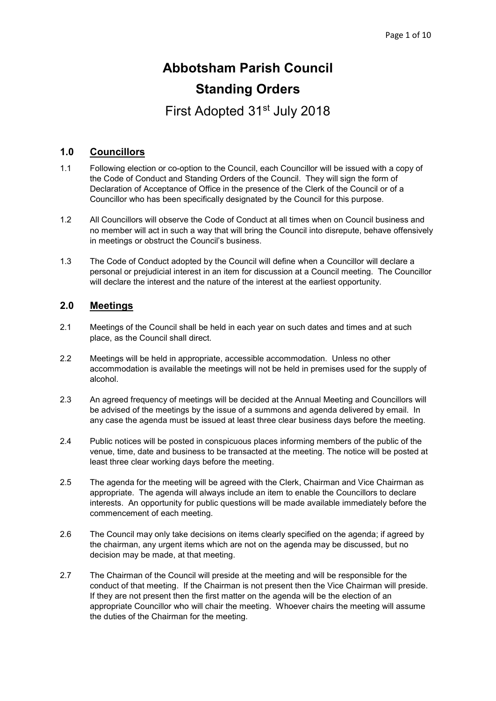# Abbotsham Parish Council Standing Orders

First Adopted 31st July 2018

#### 1.0 Councillors

- 1.1 Following election or co-option to the Council, each Councillor will be issued with a copy of the Code of Conduct and Standing Orders of the Council. They will sign the form of Declaration of Acceptance of Office in the presence of the Clerk of the Council or of a Councillor who has been specifically designated by the Council for this purpose.
- 1.2 All Councillors will observe the Code of Conduct at all times when on Council business and no member will act in such a way that will bring the Council into disrepute, behave offensively in meetings or obstruct the Council's business.
- 1.3 The Code of Conduct adopted by the Council will define when a Councillor will declare a personal or prejudicial interest in an item for discussion at a Council meeting. The Councillor will declare the interest and the nature of the interest at the earliest opportunity.

# 2.0 Meetings

- 2.1 Meetings of the Council shall be held in each year on such dates and times and at such place, as the Council shall direct.
- 2.2 Meetings will be held in appropriate, accessible accommodation. Unless no other accommodation is available the meetings will not be held in premises used for the supply of alcohol.
- 2.3 An agreed frequency of meetings will be decided at the Annual Meeting and Councillors will be advised of the meetings by the issue of a summons and agenda delivered by email. In any case the agenda must be issued at least three clear business days before the meeting.
- 2.4 Public notices will be posted in conspicuous places informing members of the public of the venue, time, date and business to be transacted at the meeting. The notice will be posted at least three clear working days before the meeting.
- 2.5 The agenda for the meeting will be agreed with the Clerk, Chairman and Vice Chairman as appropriate. The agenda will always include an item to enable the Councillors to declare interests. An opportunity for public questions will be made available immediately before the commencement of each meeting.
- 2.6 The Council may only take decisions on items clearly specified on the agenda; if agreed by the chairman, any urgent items which are not on the agenda may be discussed, but no decision may be made, at that meeting.
- 2.7 The Chairman of the Council will preside at the meeting and will be responsible for the conduct of that meeting. If the Chairman is not present then the Vice Chairman will preside. If they are not present then the first matter on the agenda will be the election of an appropriate Councillor who will chair the meeting. Whoever chairs the meeting will assume the duties of the Chairman for the meeting.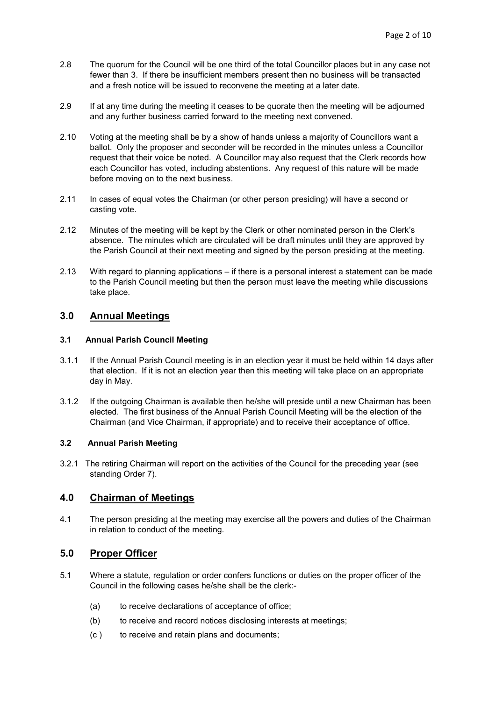- 2.8 The quorum for the Council will be one third of the total Councillor places but in any case not fewer than 3. If there be insufficient members present then no business will be transacted and a fresh notice will be issued to reconvene the meeting at a later date.
- 2.9 If at any time during the meeting it ceases to be quorate then the meeting will be adjourned and any further business carried forward to the meeting next convened.
- 2.10 Voting at the meeting shall be by a show of hands unless a majority of Councillors want a ballot. Only the proposer and seconder will be recorded in the minutes unless a Councillor request that their voice be noted. A Councillor may also request that the Clerk records how each Councillor has voted, including abstentions. Any request of this nature will be made before moving on to the next business.
- 2.11 In cases of equal votes the Chairman (or other person presiding) will have a second or casting vote.
- 2.12 Minutes of the meeting will be kept by the Clerk or other nominated person in the Clerk's absence. The minutes which are circulated will be draft minutes until they are approved by the Parish Council at their next meeting and signed by the person presiding at the meeting.
- 2.13 With regard to planning applications if there is a personal interest a statement can be made to the Parish Council meeting but then the person must leave the meeting while discussions take place.

#### 3.0 Annual Meetings

#### 3.1 Annual Parish Council Meeting

- 3.1.1 If the Annual Parish Council meeting is in an election year it must be held within 14 days after that election. If it is not an election year then this meeting will take place on an appropriate day in May.
- 3.1.2 If the outgoing Chairman is available then he/she will preside until a new Chairman has been elected. The first business of the Annual Parish Council Meeting will be the election of the Chairman (and Vice Chairman, if appropriate) and to receive their acceptance of office.

#### 3.2 Annual Parish Meeting

3.2.1 The retiring Chairman will report on the activities of the Council for the preceding year (see standing Order 7).

#### 4.0 Chairman of Meetings

4.1 The person presiding at the meeting may exercise all the powers and duties of the Chairman in relation to conduct of the meeting.

# 5.0 Proper Officer

- 5.1 Where a statute, regulation or order confers functions or duties on the proper officer of the Council in the following cases he/she shall be the clerk:-
	- (a) to receive declarations of acceptance of office;
	- (b) to receive and record notices disclosing interests at meetings;
	- (c ) to receive and retain plans and documents;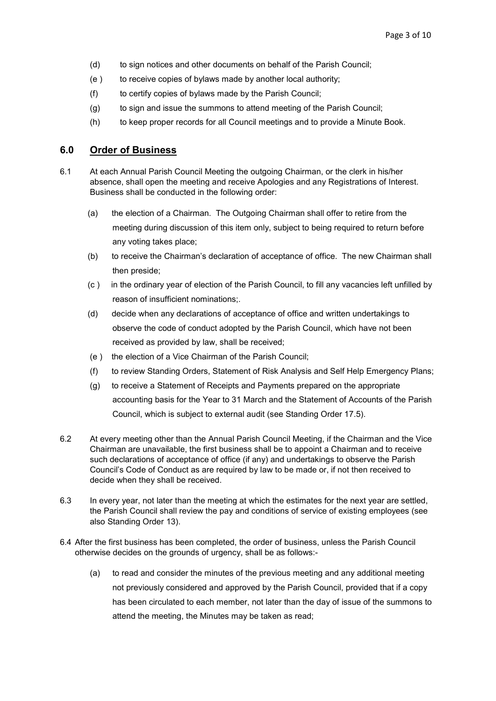- (d) to sign notices and other documents on behalf of the Parish Council;
- (e ) to receive copies of bylaws made by another local authority;
- (f) to certify copies of bylaws made by the Parish Council;
- (g) to sign and issue the summons to attend meeting of the Parish Council;
- (h) to keep proper records for all Council meetings and to provide a Minute Book.

## 6.0 Order of Business

- 6.1 At each Annual Parish Council Meeting the outgoing Chairman, or the clerk in his/her absence, shall open the meeting and receive Apologies and any Registrations of Interest. Business shall be conducted in the following order:
	- (a) the election of a Chairman. The Outgoing Chairman shall offer to retire from the meeting during discussion of this item only, subject to being required to return before any voting takes place;
	- (b) to receive the Chairman's declaration of acceptance of office. The new Chairman shall then preside;
	- (c ) in the ordinary year of election of the Parish Council, to fill any vacancies left unfilled by reason of insufficient nominations;.
	- (d) decide when any declarations of acceptance of office and written undertakings to observe the code of conduct adopted by the Parish Council, which have not been received as provided by law, shall be received;
	- (e ) the election of a Vice Chairman of the Parish Council;
	- (f) to review Standing Orders, Statement of Risk Analysis and Self Help Emergency Plans;
	- (g) to receive a Statement of Receipts and Payments prepared on the appropriate accounting basis for the Year to 31 March and the Statement of Accounts of the Parish Council, which is subject to external audit (see Standing Order 17.5).
- 6.2 At every meeting other than the Annual Parish Council Meeting, if the Chairman and the Vice Chairman are unavailable, the first business shall be to appoint a Chairman and to receive such declarations of acceptance of office (if any) and undertakings to observe the Parish Council's Code of Conduct as are required by law to be made or, if not then received to decide when they shall be received.
- 6.3 In every year, not later than the meeting at which the estimates for the next year are settled, the Parish Council shall review the pay and conditions of service of existing employees (see also Standing Order 13).
- 6.4 After the first business has been completed, the order of business, unless the Parish Council otherwise decides on the grounds of urgency, shall be as follows:-
	- (a) to read and consider the minutes of the previous meeting and any additional meeting not previously considered and approved by the Parish Council, provided that if a copy has been circulated to each member, not later than the day of issue of the summons to attend the meeting, the Minutes may be taken as read;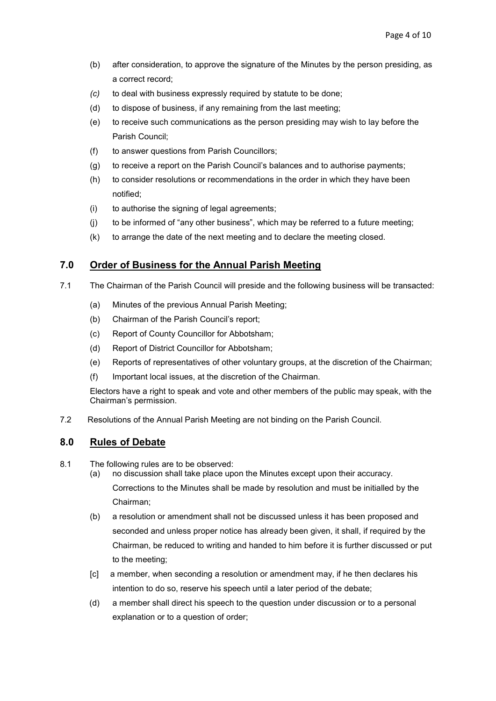- (b) after consideration, to approve the signature of the Minutes by the person presiding, as a correct record;
- (c) to deal with business expressly required by statute to be done;
- (d) to dispose of business, if any remaining from the last meeting;
- (e) to receive such communications as the person presiding may wish to lay before the Parish Council;
- (f) to answer questions from Parish Councillors;
- (g) to receive a report on the Parish Council's balances and to authorise payments;
- (h) to consider resolutions or recommendations in the order in which they have been notified;
- (i) to authorise the signing of legal agreements;
- (j) to be informed of "any other business", which may be referred to a future meeting;
- (k) to arrange the date of the next meeting and to declare the meeting closed.

# 7.0 Order of Business for the Annual Parish Meeting

- 7.1 The Chairman of the Parish Council will preside and the following business will be transacted:
	- (a) Minutes of the previous Annual Parish Meeting;
	- (b) Chairman of the Parish Council's report;
	- (c) Report of County Councillor for Abbotsham;
	- (d) Report of District Councillor for Abbotsham;
	- (e) Reports of representatives of other voluntary groups, at the discretion of the Chairman;
	- (f) Important local issues, at the discretion of the Chairman.

Electors have a right to speak and vote and other members of the public may speak, with the Chairman's permission.

7.2 Resolutions of the Annual Parish Meeting are not binding on the Parish Council.

# 8.0 Rules of Debate

- 8.1 The following rules are to be observed:
	- (a) no discussion shall take place upon the Minutes except upon their accuracy. Corrections to the Minutes shall be made by resolution and must be initialled by the Chairman;
	- (b) a resolution or amendment shall not be discussed unless it has been proposed and seconded and unless proper notice has already been given, it shall, if required by the Chairman, be reduced to writing and handed to him before it is further discussed or put to the meeting;
	- [c] a member, when seconding a resolution or amendment may, if he then declares his intention to do so, reserve his speech until a later period of the debate;
	- (d) a member shall direct his speech to the question under discussion or to a personal explanation or to a question of order;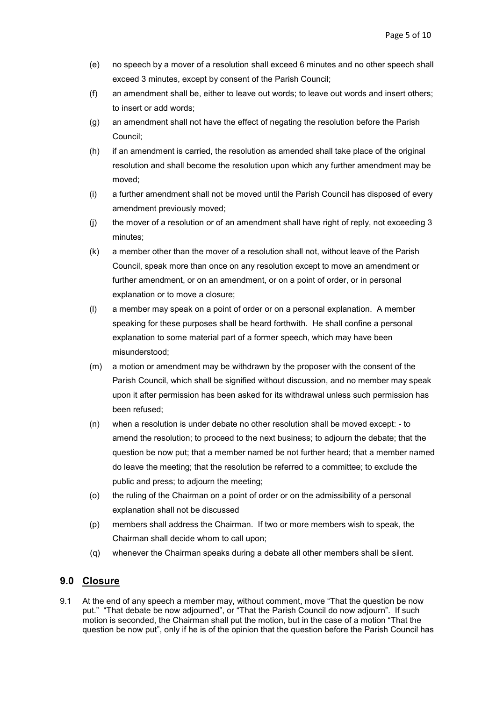- (e) no speech by a mover of a resolution shall exceed 6 minutes and no other speech shall exceed 3 minutes, except by consent of the Parish Council;
- (f) an amendment shall be, either to leave out words; to leave out words and insert others; to insert or add words;
- (g) an amendment shall not have the effect of negating the resolution before the Parish Council;
- (h) if an amendment is carried, the resolution as amended shall take place of the original resolution and shall become the resolution upon which any further amendment may be moved;
- (i) a further amendment shall not be moved until the Parish Council has disposed of every amendment previously moved;
- (j) the mover of a resolution or of an amendment shall have right of reply, not exceeding 3 minutes;
- (k) a member other than the mover of a resolution shall not, without leave of the Parish Council, speak more than once on any resolution except to move an amendment or further amendment, or on an amendment, or on a point of order, or in personal explanation or to move a closure;
- (l) a member may speak on a point of order or on a personal explanation. A member speaking for these purposes shall be heard forthwith. He shall confine a personal explanation to some material part of a former speech, which may have been misunderstood;
- (m) a motion or amendment may be withdrawn by the proposer with the consent of the Parish Council, which shall be signified without discussion, and no member may speak upon it after permission has been asked for its withdrawal unless such permission has been refused;
- (n) when a resolution is under debate no other resolution shall be moved except: to amend the resolution; to proceed to the next business; to adjourn the debate; that the question be now put; that a member named be not further heard; that a member named do leave the meeting; that the resolution be referred to a committee; to exclude the public and press; to adjourn the meeting;
- (o) the ruling of the Chairman on a point of order or on the admissibility of a personal explanation shall not be discussed
- (p) members shall address the Chairman. If two or more members wish to speak, the Chairman shall decide whom to call upon;
- (q) whenever the Chairman speaks during a debate all other members shall be silent.

# 9.0 Closure

9.1 At the end of any speech a member may, without comment, move "That the question be now put." "That debate be now adjourned", or "That the Parish Council do now adjourn". If such motion is seconded, the Chairman shall put the motion, but in the case of a motion "That the question be now put", only if he is of the opinion that the question before the Parish Council has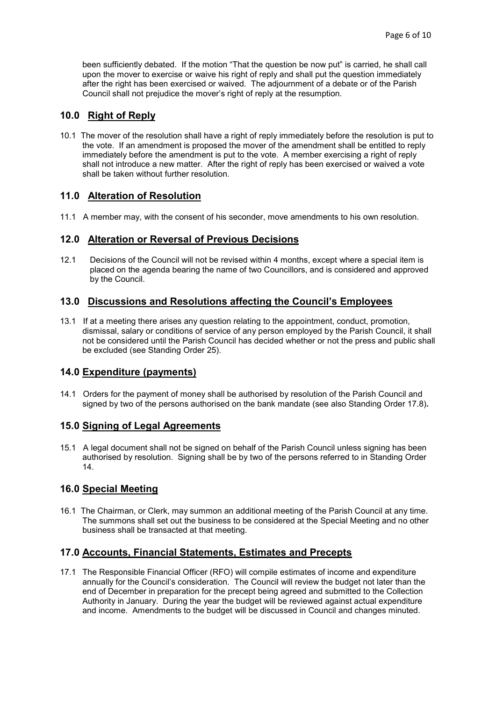been sufficiently debated. If the motion "That the question be now put" is carried, he shall call upon the mover to exercise or waive his right of reply and shall put the question immediately after the right has been exercised or waived. The adjournment of a debate or of the Parish Council shall not prejudice the mover's right of reply at the resumption.

# 10.0 Right of Reply

10.1 The mover of the resolution shall have a right of reply immediately before the resolution is put to the vote. If an amendment is proposed the mover of the amendment shall be entitled to reply immediately before the amendment is put to the vote. A member exercising a right of reply shall not introduce a new matter. After the right of reply has been exercised or waived a vote shall be taken without further resolution.

# 11.0 Alteration of Resolution

11.1 A member may, with the consent of his seconder, move amendments to his own resolution.

#### 12.0 Alteration or Reversal of Previous Decisions

12.1 Decisions of the Council will not be revised within 4 months, except where a special item is placed on the agenda bearing the name of two Councillors, and is considered and approved by the Council.

#### 13.0 Discussions and Resolutions affecting the Council's Employees

13.1 If at a meeting there arises any question relating to the appointment, conduct, promotion, dismissal, salary or conditions of service of any person employed by the Parish Council, it shall not be considered until the Parish Council has decided whether or not the press and public shall be excluded (see Standing Order 25).

#### 14.0 Expenditure (payments)

14.1 Orders for the payment of money shall be authorised by resolution of the Parish Council and signed by two of the persons authorised on the bank mandate (see also Standing Order 17.8).

#### 15.0 Signing of Legal Agreements

15.1 A legal document shall not be signed on behalf of the Parish Council unless signing has been authorised by resolution. Signing shall be by two of the persons referred to in Standing Order 14.

#### 16.0 Special Meeting

16.1 The Chairman, or Clerk, may summon an additional meeting of the Parish Council at any time. The summons shall set out the business to be considered at the Special Meeting and no other business shall be transacted at that meeting.

## 17.0 Accounts, Financial Statements, Estimates and Precepts

17.1 The Responsible Financial Officer (RFO) will compile estimates of income and expenditure annually for the Council's consideration. The Council will review the budget not later than the end of December in preparation for the precept being agreed and submitted to the Collection Authority in January. During the year the budget will be reviewed against actual expenditure and income. Amendments to the budget will be discussed in Council and changes minuted.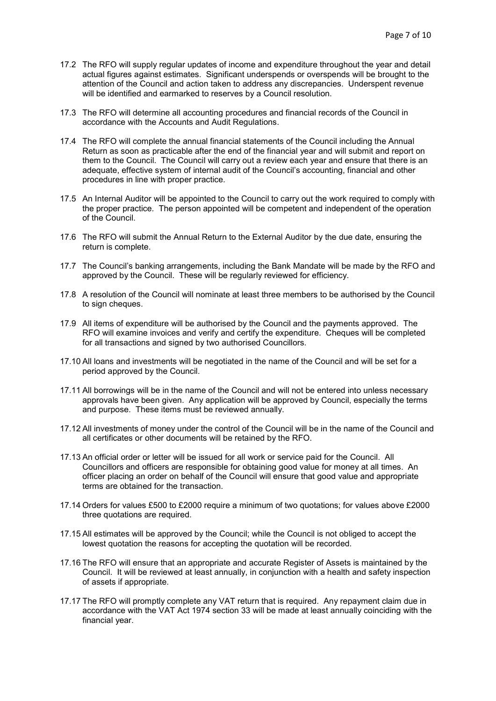- 17.2 The RFO will supply regular updates of income and expenditure throughout the year and detail actual figures against estimates. Significant underspends or overspends will be brought to the attention of the Council and action taken to address any discrepancies. Underspent revenue will be identified and earmarked to reserves by a Council resolution.
- 17.3 The RFO will determine all accounting procedures and financial records of the Council in accordance with the Accounts and Audit Regulations.
- 17.4 The RFO will complete the annual financial statements of the Council including the Annual Return as soon as practicable after the end of the financial year and will submit and report on them to the Council. The Council will carry out a review each year and ensure that there is an adequate, effective system of internal audit of the Council's accounting, financial and other procedures in line with proper practice.
- 17.5 An Internal Auditor will be appointed to the Council to carry out the work required to comply with the proper practice. The person appointed will be competent and independent of the operation of the Council.
- 17.6 The RFO will submit the Annual Return to the External Auditor by the due date, ensuring the return is complete.
- 17.7 The Council's banking arrangements, including the Bank Mandate will be made by the RFO and approved by the Council. These will be regularly reviewed for efficiency.
- 17.8 A resolution of the Council will nominate at least three members to be authorised by the Council to sign cheques.
- 17.9 All items of expenditure will be authorised by the Council and the payments approved. The RFO will examine invoices and verify and certify the expenditure. Cheques will be completed for all transactions and signed by two authorised Councillors.
- 17.10 All loans and investments will be negotiated in the name of the Council and will be set for a period approved by the Council.
- 17.11 All borrowings will be in the name of the Council and will not be entered into unless necessary approvals have been given. Any application will be approved by Council, especially the terms and purpose. These items must be reviewed annually.
- 17.12 All investments of money under the control of the Council will be in the name of the Council and all certificates or other documents will be retained by the RFO.
- 17.13 An official order or letter will be issued for all work or service paid for the Council. All Councillors and officers are responsible for obtaining good value for money at all times. An officer placing an order on behalf of the Council will ensure that good value and appropriate terms are obtained for the transaction.
- 17.14 Orders for values £500 to £2000 require a minimum of two quotations; for values above £2000 three quotations are required.
- 17.15 All estimates will be approved by the Council; while the Council is not obliged to accept the lowest quotation the reasons for accepting the quotation will be recorded.
- 17.16 The RFO will ensure that an appropriate and accurate Register of Assets is maintained by the Council. It will be reviewed at least annually, in conjunction with a health and safety inspection of assets if appropriate.
- 17.17 The RFO will promptly complete any VAT return that is required. Any repayment claim due in accordance with the VAT Act 1974 section 33 will be made at least annually coinciding with the financial year.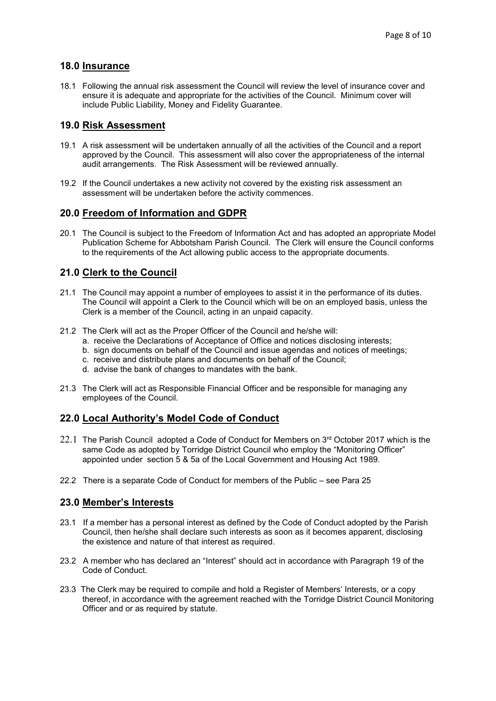## 18.0 Insurance

18.1 Following the annual risk assessment the Council will review the level of insurance cover and ensure it is adequate and appropriate for the activities of the Council. Minimum cover will include Public Liability, Money and Fidelity Guarantee.

#### 19.0 Risk Assessment

- 19.1 A risk assessment will be undertaken annually of all the activities of the Council and a report approved by the Council. This assessment will also cover the appropriateness of the internal audit arrangements. The Risk Assessment will be reviewed annually.
- 19.2 If the Council undertakes a new activity not covered by the existing risk assessment an assessment will be undertaken before the activity commences.

#### 20.0 Freedom of Information and GDPR

20.1 The Council is subject to the Freedom of Information Act and has adopted an appropriate Model Publication Scheme for Abbotsham Parish Council. The Clerk will ensure the Council conforms to the requirements of the Act allowing public access to the appropriate documents.

## 21.0 Clerk to the Council

- 21.1 The Council may appoint a number of employees to assist it in the performance of its duties. The Council will appoint a Clerk to the Council which will be on an employed basis, unless the Clerk is a member of the Council, acting in an unpaid capacity.
- 21.2 The Clerk will act as the Proper Officer of the Council and he/she will:
	- a. receive the Declarations of Acceptance of Office and notices disclosing interests;
	- b. sign documents on behalf of the Council and issue agendas and notices of meetings;
	- c. receive and distribute plans and documents on behalf of the Council;
	- d. advise the bank of changes to mandates with the bank.
- 21.3 The Clerk will act as Responsible Financial Officer and be responsible for managing any employees of the Council.

# 22.0 Local Authority's Model Code of Conduct

- $22.1$  The Parish Council adopted a Code of Conduct for Members on  $3<sup>rd</sup>$  October 2017 which is the same Code as adopted by Torridge District Council who employ the "Monitoring Officer" appointed under section 5 & 5a of the Local Government and Housing Act 1989.
- 22.2 There is a separate Code of Conduct for members of the Public see Para 25

#### 23.0 Member's Interests

- 23.1 If a member has a personal interest as defined by the Code of Conduct adopted by the Parish Council, then he/she shall declare such interests as soon as it becomes apparent, disclosing the existence and nature of that interest as required.
- 23.2 A member who has declared an "Interest" should act in accordance with Paragraph 19 of the Code of Conduct.
- 23.3 The Clerk may be required to compile and hold a Register of Members' Interests, or a copy thereof, in accordance with the agreement reached with the Torridge District Council Monitoring Officer and or as required by statute.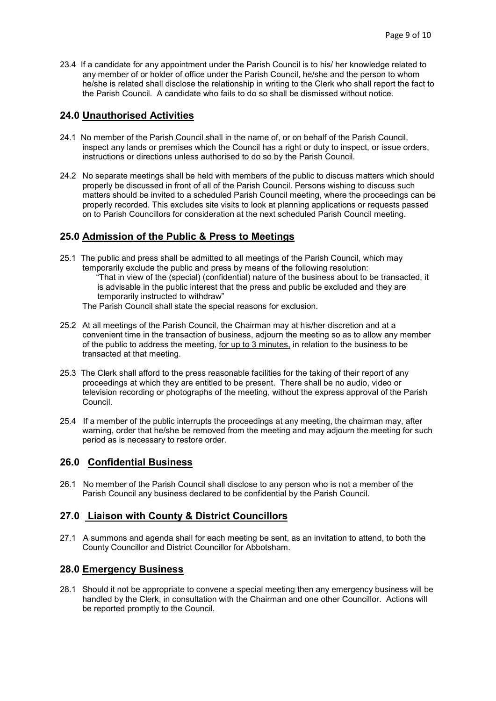23.4 If a candidate for any appointment under the Parish Council is to his/ her knowledge related to any member of or holder of office under the Parish Council, he/she and the person to whom he/she is related shall disclose the relationship in writing to the Clerk who shall report the fact to the Parish Council. A candidate who fails to do so shall be dismissed without notice.

## 24.0 Unauthorised Activities

- 24.1 No member of the Parish Council shall in the name of, or on behalf of the Parish Council, inspect any lands or premises which the Council has a right or duty to inspect, or issue orders, instructions or directions unless authorised to do so by the Parish Council.
- 24.2 No separate meetings shall be held with members of the public to discuss matters which should properly be discussed in front of all of the Parish Council. Persons wishing to discuss such matters should be invited to a scheduled Parish Council meeting, where the proceedings can be properly recorded. This excludes site visits to look at planning applications or requests passed on to Parish Councillors for consideration at the next scheduled Parish Council meeting.

# 25.0 Admission of the Public & Press to Meetings

- 25.1 The public and press shall be admitted to all meetings of the Parish Council, which may temporarily exclude the public and press by means of the following resolution: "That in view of the (special) (confidential) nature of the business about to be transacted, it is advisable in the public interest that the press and public be excluded and they are temporarily instructed to withdraw"
	- The Parish Council shall state the special reasons for exclusion.
- 25.2 At all meetings of the Parish Council, the Chairman may at his/her discretion and at a convenient time in the transaction of business, adjourn the meeting so as to allow any member of the public to address the meeting, for up to 3 minutes, in relation to the business to be transacted at that meeting.
- 25.3 The Clerk shall afford to the press reasonable facilities for the taking of their report of any proceedings at which they are entitled to be present. There shall be no audio, video or television recording or photographs of the meeting, without the express approval of the Parish Council.
- 25.4 If a member of the public interrupts the proceedings at any meeting, the chairman may, after warning, order that he/she be removed from the meeting and may adjourn the meeting for such period as is necessary to restore order.

# 26.0 Confidential Business

26.1 No member of the Parish Council shall disclose to any person who is not a member of the Parish Council any business declared to be confidential by the Parish Council.

# 27.0 Liaison with County & District Councillors

27.1 A summons and agenda shall for each meeting be sent, as an invitation to attend, to both the County Councillor and District Councillor for Abbotsham.

#### 28.0 Emergency Business

28.1 Should it not be appropriate to convene a special meeting then any emergency business will be handled by the Clerk, in consultation with the Chairman and one other Councillor. Actions will be reported promptly to the Council.